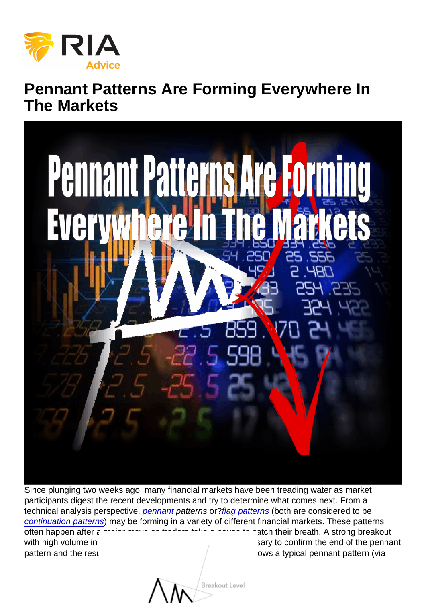## Pennant Patterns Are Forming Everywhere In The Markets

Since plunging two weeks ago, many financial markets have been treading water as market participants digest the recent developments and try to determine what comes next. From a technical analysis perspective, [pennant](https://www.investopedia.com/terms/p/pennant.asp) patterns or[?flag patterns](https://www.investopedia.com/university/charts/charts6.asp) (both are considered to be [continuation patterns](https://www.investopedia.com/trading/continuation-patterns-introduction/)) may be forming in a variety of different financial markets. These patterns often happen after a major move as traders take a pause to catch their breath. A strong breakout with high volume in [the direction of the original trend is necess](https://realinvestmentadvice.com/wp-content/uploads/2018/10/pennant.png)ary to confirm the end of the pennant pattern and the resumption of the primary trend. This chart shows a typical pennant pattern (via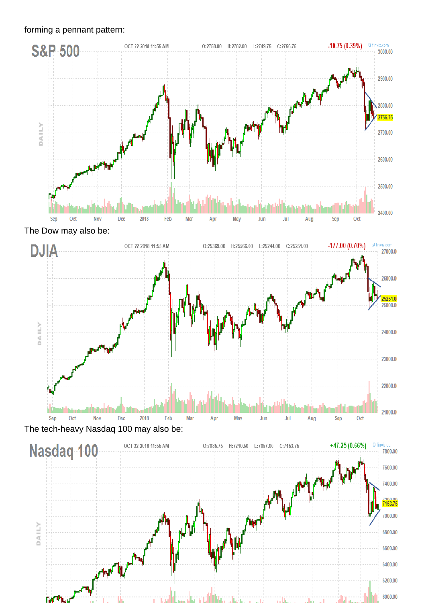forming a pennant pattern:

The Dow may also be:

The tech-heavy Nasdaq 100 may also be: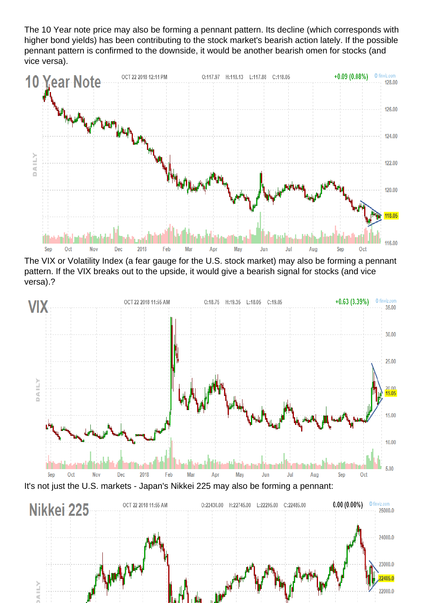The 10 Year note price may also be forming a pennant pattern. Its decline (which corresponds with higher bond yields) has been contributing to the stock market's bearish action lately. If the possible pennant pattern is confirmed to the downside, it would be another bearish omen for stocks (and vice versa).

The VIX or Volatility Index (a fear gauge for the U.S. stock market) may also be forming a pennant pattern. If the VIX breaks out to the upside, it would give a bearish signal for stocks (and vice versa).?

It's not just the U.S. markets - Japan's Nikkei 225 may also be forming a pennant: